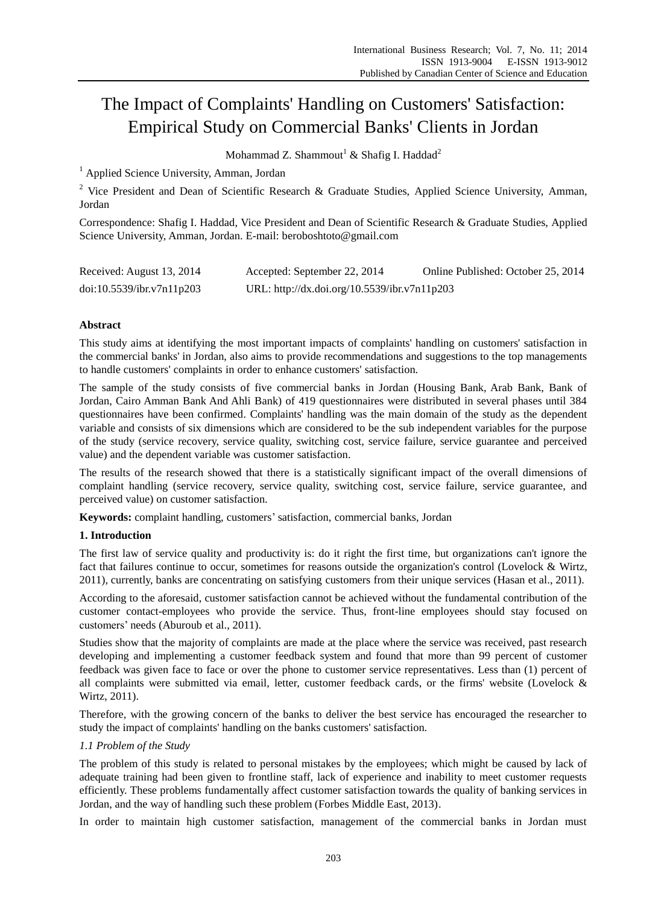# The Impact of Complaints' Handling on Customers' Satisfaction: Empirical Study on Commercial Banks' Clients in Jordan

Mohammad Z. Shammout<sup>1</sup> & Shafig I. Haddad<sup>2</sup>

<sup>1</sup> Applied Science University, Amman, Jordan

<sup>2</sup> Vice President and Dean of Scientific Research & Graduate Studies, Applied Science University, Amman, Jordan

Correspondence: Shafig I. Haddad, Vice President and Dean of Scientific Research & Graduate Studies, Applied Science University, Amman, Jordan. E-mail: beroboshtoto@gmail.com

| Received: August 13, 2014 | Accepted: September 22, 2014                 | Online Published: October 25, 2014 |
|---------------------------|----------------------------------------------|------------------------------------|
| doi:10.5539/ibr.v7n11p203 | URL: http://dx.doi.org/10.5539/ibr.v7n11p203 |                                    |

# **Abstract**

This study aims at identifying the most important impacts of complaints' handling on customers' satisfaction in the commercial banks' in Jordan, also aims to provide recommendations and suggestions to the top managements to handle customers' complaints in order to enhance customers' satisfaction.

The sample of the study consists of five commercial banks in Jordan (Housing Bank, Arab Bank, Bank of Jordan, Cairo Amman Bank And Ahli Bank) of 419 questionnaires were distributed in several phases until 384 questionnaires have been confirmed. Complaints' handling was the main domain of the study as the dependent variable and consists of six dimensions which are considered to be the sub independent variables for the purpose of the study (service recovery, service quality, switching cost, service failure, service guarantee and perceived value) and the dependent variable was customer satisfaction.

The results of the research showed that there is a statistically significant impact of the overall dimensions of complaint handling (service recovery, service quality, switching cost, service failure, service guarantee, and perceived value) on customer satisfaction.

**Keywords:** complaint handling, customers' satisfaction, commercial banks, Jordan

# **1. Introduction**

The first law of service quality and productivity is: do it right the first time, but organizations can't ignore the fact that failures continue to occur, sometimes for reasons outside the organization's control (Lovelock & Wirtz, 2011), currently, banks are concentrating on satisfying customers from their unique services (Hasan et al., 2011).

According to the aforesaid, customer satisfaction cannot be achieved without the fundamental contribution of the customer contact-employees who provide the service. Thus, front-line employees should stay focused on customers' needs (Aburoub et al., 2011).

Studies show that the majority of complaints are made at the place where the service was received, past research developing and implementing a customer feedback system and found that more than 99 percent of customer feedback was given face to face or over the phone to customer service representatives. Less than (1) percent of all complaints were submitted via email, letter, customer feedback cards, or the firms' website (Lovelock & Wirtz, 2011).

Therefore, with the growing concern of the banks to deliver the best service has encouraged the researcher to study the impact of complaints' handling on the banks customers' satisfaction.

# *1.1 Problem of the Study*

The problem of this study is related to personal mistakes by the employees; which might be caused by lack of adequate training had been given to frontline staff, lack of experience and inability to meet customer requests efficiently. These problems fundamentally affect customer satisfaction towards the quality of banking services in Jordan, and the way of handling such these problem (Forbes Middle East, 2013).

In order to maintain high customer satisfaction, management of the commercial banks in Jordan must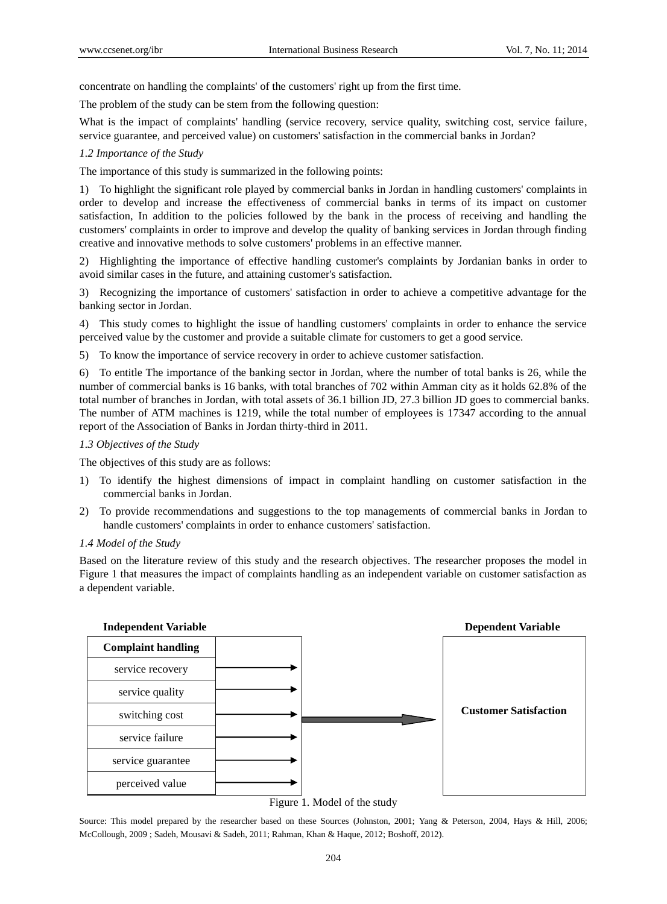concentrate on handling the complaints' of the customers' right up from the first time.

The problem of the study can be stem from the following question:

What is the impact of complaints' handling (service recovery, service quality, switching cost, service failure, service guarantee, and perceived value) on customers' satisfaction in the commercial banks in Jordan?

### *1.2 Importance of the Study*

The importance of this study is summarized in the following points:

1) To highlight the significant role played by commercial banks in Jordan in handling customers' complaints in order to develop and increase the effectiveness of commercial banks in terms of its impact on customer satisfaction, In addition to the policies followed by the bank in the process of receiving and handling the customers' complaints in order to improve and develop the quality of banking services in Jordan through finding creative and innovative methods to solve customers' problems in an effective manner.

2) Highlighting the importance of effective handling customer's complaints by Jordanian banks in order to avoid similar cases in the future, and attaining customer's satisfaction.

3) Recognizing the importance of customers' satisfaction in order to achieve a competitive advantage for the banking sector in Jordan.

4) This study comes to highlight the issue of handling customers' complaints in order to enhance the service perceived value by the customer and provide a suitable climate for customers to get a good service.

5) To know the importance of service recovery in order to achieve customer satisfaction.

6) To entitle The importance of the banking sector in Jordan, where the number of total banks is 26, while the number of commercial banks is 16 banks, with total branches of 702 within Amman city as it holds 62.8% of the total number of branches in Jordan, with total assets of 36.1 billion JD, 27.3 billion JD goes to commercial banks. The number of ATM machines is 1219, while the total number of employees is 17347 according to the annual report of the Association of Banks in Jordan thirty-third in 2011.

### *1.3 Objectives of the Study*

The objectives of this study are as follows:

- 1) To identify the highest dimensions of impact in complaint handling on customer satisfaction in the commercial banks in Jordan.
- 2) To provide recommendations and suggestions to the top managements of commercial banks in Jordan to handle customers' complaints in order to enhance customers' satisfaction.

### *1.4 Model of the Study*

Based on the literature review of this study and the research objectives. The researcher proposes the model in Figure 1 that measures the impact of complaints handling as an independent variable on customer satisfaction as a dependent variable.





Source: This model prepared by the researcher based on these Sources (Johnston, 2001; Yang & Peterson, 2004, Hays & Hill, 2006; McCollough, 2009 ; Sadeh, Mousavi & Sadeh, 2011; Rahman, Khan & Haque, 2012; Boshoff, 2012).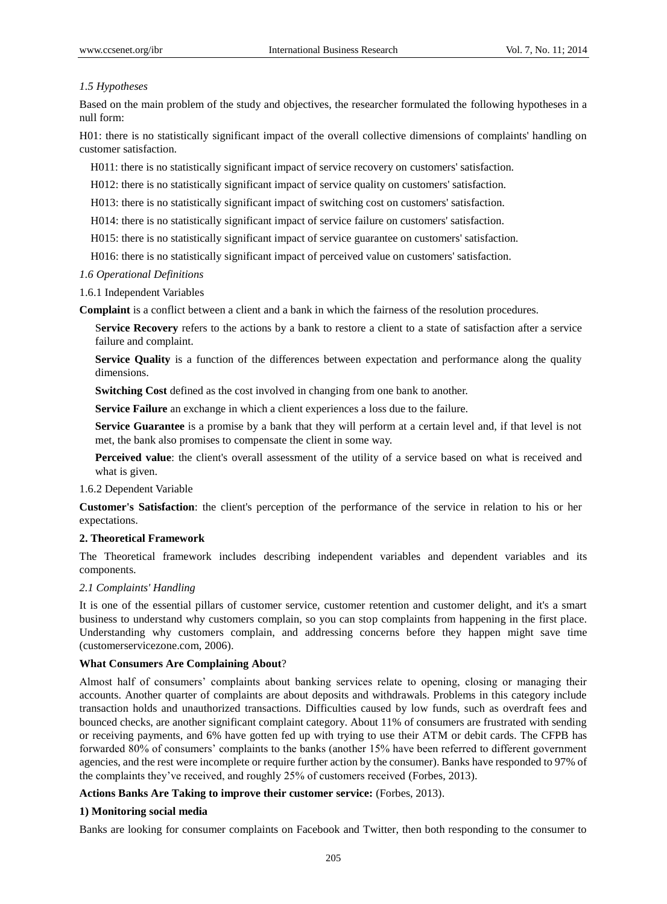# *1.5 Hypotheses*

Based on the main problem of the study and objectives, the researcher formulated the following hypotheses in a null form:

H01: there is no statistically significant impact of the overall collective dimensions of complaints' handling on customer satisfaction.

H011: there is no statistically significant impact of service recovery on customers' satisfaction.

H012: there is no statistically significant impact of service quality on customers' satisfaction.

H013: there is no statistically significant impact of switching cost on customers' satisfaction.

H014: there is no statistically significant impact of service failure on customers' satisfaction.

H015: there is no statistically significant impact of service guarantee on customers' satisfaction.

H016: there is no statistically significant impact of perceived value on customers' satisfaction.

### *1.6 Operational Definitions*

### 1.6.1 Independent Variables

**Complaint** is a conflict between a client and a bank in which the fairness of the resolution procedures.

S**ervice Recovery** refers to the actions by a bank to restore a client to a state of satisfaction after a service failure and complaint.

**Service Quality** is a function of the differences between expectation and performance along the quality dimensions.

**Switching Cost** defined as the cost involved in changing from one bank to another.

**Service Failure** an exchange in which a client experiences a loss due to the failure.

**Service Guarantee** is a promise by a bank that they will perform at a certain level and, if that level is not met, the bank also promises to compensate the client in some way.

**Perceived value**: the client's overall assessment of the utility of a service based on what is received and what is given.

1.6.2 Dependent Variable

**Customer's Satisfaction**: the client's perception of the performance of the service in relation to his or her expectations.

#### **2. Theoretical Framework**

The Theoretical framework includes describing independent variables and dependent variables and its components.

### *2.1 Complaints' Handling*

It is one of the essential pillars of customer service, customer retention and customer delight, and it's a smart business to understand why customers complain, so you can stop complaints from happening in the first place. Understanding why customers complain, and addressing concerns before they happen might save time (customerservicezone.com, 2006).

#### **What Consumers Are Complaining About**?

Almost half of consumers' complaints about banking services relate to opening, closing or managing their accounts. Another quarter of complaints are about deposits and withdrawals. Problems in this category include transaction holds and unauthorized transactions. Difficulties caused by low funds, such as overdraft fees and bounced checks, are another significant complaint category. About 11% of consumers are frustrated with sending or receiving payments, and 6% have gotten fed up with trying to use their ATM or debit cards. The CFPB has forwarded 80% of consumers' complaints to the banks (another 15% have been referred to different government agencies, and the rest were incomplete or require further action by the consumer). Banks have responded to 97% of the complaints they've received, and roughly 25% of customers received (Forbes, 2013).

# **Actions Banks Are Taking to improve their customer service:** (Forbes, 2013).

# **1) Monitoring social media**

Banks are looking for consumer complaints on Facebook and Twitter, then both responding to the consumer to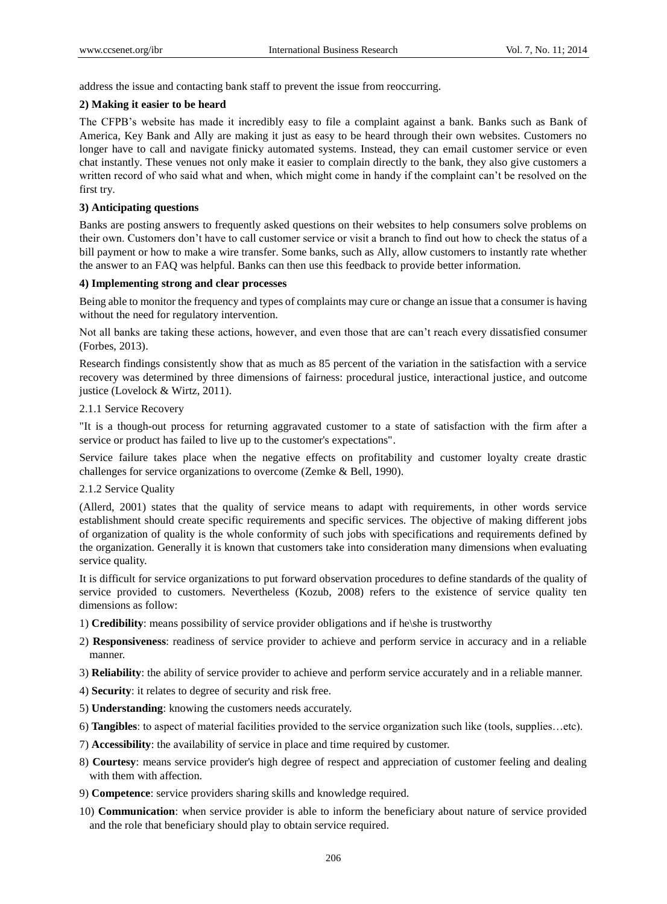address the issue and contacting bank staff to prevent the issue from reoccurring.

### **2) Making it easier to be heard**

The CFPB's website has made it incredibly easy to file a complaint against a bank. Banks such as Bank of America, Key Bank and Ally are making it just as easy to be heard through their own websites. Customers no longer have to call and navigate finicky automated systems. Instead, they can email customer service or even chat instantly. These venues not only make it easier to complain directly to the bank, they also give customers a written record of who said what and when, which might come in handy if the complaint can't be resolved on the first try.

# **3) Anticipating questions**

Banks are posting answers to frequently asked questions on their websites to help consumers solve problems on their own. Customers don't have to call customer service or visit a branch to find out how to check the status of a bill payment or how to make a wire transfer. Some banks, such as Ally, allow customers to instantly rate whether the answer to an FAQ was helpful. Banks can then use this feedback to provide better information.

# **4) Implementing strong and clear processes**

Being able to monitor the frequency and types of complaints may cure or change an issue that a consumer is having without the need for regulatory intervention.

Not all banks are taking these actions, however, and even those that are can't reach every dissatisfied consumer (Forbes, 2013).

Research findings consistently show that as much as 85 percent of the variation in the satisfaction with a service recovery was determined by three dimensions of fairness: procedural justice, interactional justice, and outcome justice (Lovelock & Wirtz, 2011).

# 2.1.1 Service Recovery

"It is a though-out process for returning aggravated customer to a state of satisfaction with the firm after a service or product has failed to live up to the customer's expectations".

Service failure takes place when the negative effects on profitability and customer loyalty create drastic challenges for service organizations to overcome (Zemke & Bell, 1990).

# 2.1.2 Service Quality

(Allerd, 2001) states that the quality of service means to adapt with requirements, in other words service establishment should create specific requirements and specific services. The objective of making different jobs of organization of quality is the whole conformity of such jobs with specifications and requirements defined by the organization. Generally it is known that customers take into consideration many dimensions when evaluating service quality.

It is difficult for service organizations to put forward observation procedures to define standards of the quality of service provided to customers. Nevertheless (Kozub, 2008) refers to the existence of service quality ten dimensions as follow:

- 1) **Credibility**: means possibility of service provider obligations and if he\she is trustworthy
- 2) **Responsiveness**: readiness of service provider to achieve and perform service in accuracy and in a reliable manner.
- 3) **Reliability**: the ability of service provider to achieve and perform service accurately and in a reliable manner.
- 4) **Security**: it relates to degree of security and risk free.
- 5) **Understanding**: knowing the customers needs accurately.
- 6) **Tangibles**: to aspect of material facilities provided to the service organization such like (tools, supplies…etc).
- 7) **Accessibility**: the availability of service in place and time required by customer.
- 8) **Courtesy**: means service provider's high degree of respect and appreciation of customer feeling and dealing with them with affection.
- 9) **Competence**: service providers sharing skills and knowledge required.
- 10) **Communication**: when service provider is able to inform the beneficiary about nature of service provided and the role that beneficiary should play to obtain service required.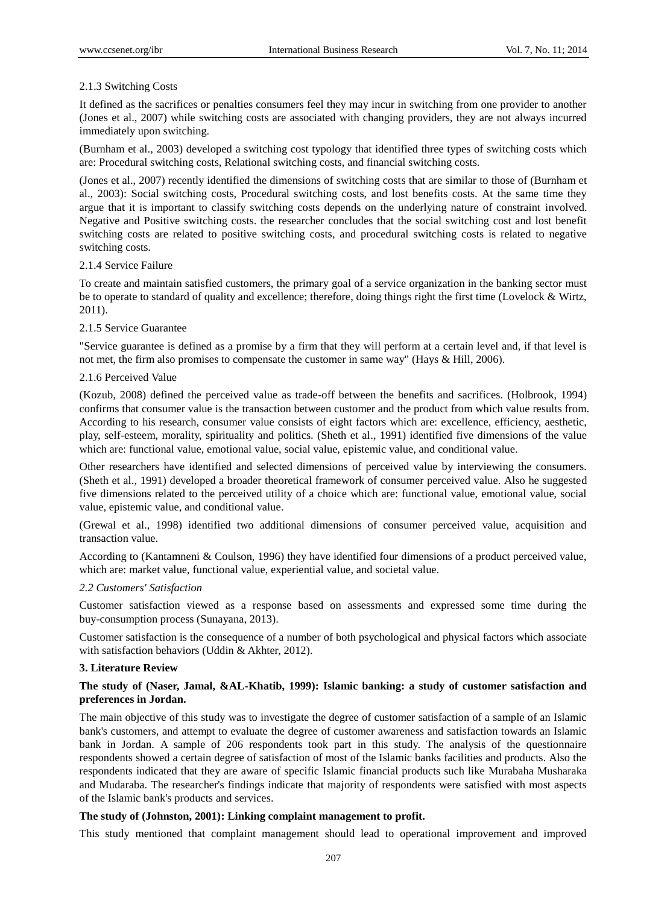# 2.1.3 Switching Costs

It defined as the sacrifices or penalties consumers feel they may incur in switching from one provider to another (Jones et al., 2007) while switching costs are associated with changing providers, they are not always incurred immediately upon switching.

(Burnham et al., 2003) developed a switching cost typology that identified three types of switching costs which are: Procedural switching costs, Relational switching costs, and financial switching costs.

(Jones et al., 2007) recently identified the dimensions of switching costs that are similar to those of (Burnham et al., 2003): Social switching costs, Procedural switching costs, and lost benefits costs. At the same time they argue that it is important to classify switching costs depends on the underlying nature of constraint involved. Negative and Positive switching costs. the researcher concludes that the social switching cost and lost benefit switching costs are related to positive switching costs, and procedural switching costs is related to negative switching costs.

# 2.1.4 Service Failure

To create and maintain satisfied customers, the primary goal of a service organization in the banking sector must be to operate to standard of quality and excellence; therefore, doing things right the first time (Lovelock & Wirtz, 2011).

# 2.1.5 Service Guarantee

"Service guarantee is defined as a promise by a firm that they will perform at a certain level and, if that level is not met, the firm also promises to compensate the customer in same way" (Hays & Hill, 2006).

# 2.1.6 Perceived Value

(Kozub, 2008) defined the perceived value as trade-off between the benefits and sacrifices. (Holbrook, 1994) confirms that consumer value is the transaction between customer and the product from which value results from. According to his research, consumer value consists of eight factors which are: excellence, efficiency, aesthetic, play, self-esteem, morality, spirituality and politics. (Sheth et al., 1991) identified five dimensions of the value which are: functional value, emotional value, social value, epistemic value, and conditional value.

Other researchers have identified and selected dimensions of perceived value by interviewing the consumers. (Sheth et al., 1991) developed a broader theoretical framework of consumer perceived value. Also he suggested five dimensions related to the perceived utility of a choice which are: functional value, emotional value, social value, epistemic value, and conditional value.

(Grewal et al., 1998) identified two additional dimensions of consumer perceived value, acquisition and transaction value.

According to (Kantamneni & Coulson, 1996) they have identified four dimensions of a product perceived value, which are: market value, functional value, experiential value, and societal value.

# *2.2 Customers' Satisfaction*

Customer satisfaction viewed as a response based on assessments and expressed some time during the buy-consumption process (Sunayana, 2013).

Customer satisfaction is the consequence of a number of both psychological and physical factors which associate with satisfaction behaviors (Uddin & Akhter, 2012).

# **3. Literature Review**

# **The study of (Naser, Jamal, &AL-Khatib, 1999): Islamic banking: a study of customer satisfaction and preferences in Jordan.**

The main objective of this study was to investigate the degree of customer satisfaction of a sample of an Islamic bank's customers, and attempt to evaluate the degree of customer awareness and satisfaction towards an Islamic bank in Jordan. A sample of 206 respondents took part in this study. The analysis of the questionnaire respondents showed a certain degree of satisfaction of most of the Islamic banks facilities and products. Also the respondents indicated that they are aware of specific Islamic financial products such like Murabaha Musharaka and Mudaraba. The researcher's findings indicate that majority of respondents were satisfied with most aspects of the Islamic bank's products and services.

# **The study of (Johnston, 2001): Linking complaint management to profit.**

This study mentioned that complaint management should lead to operational improvement and improved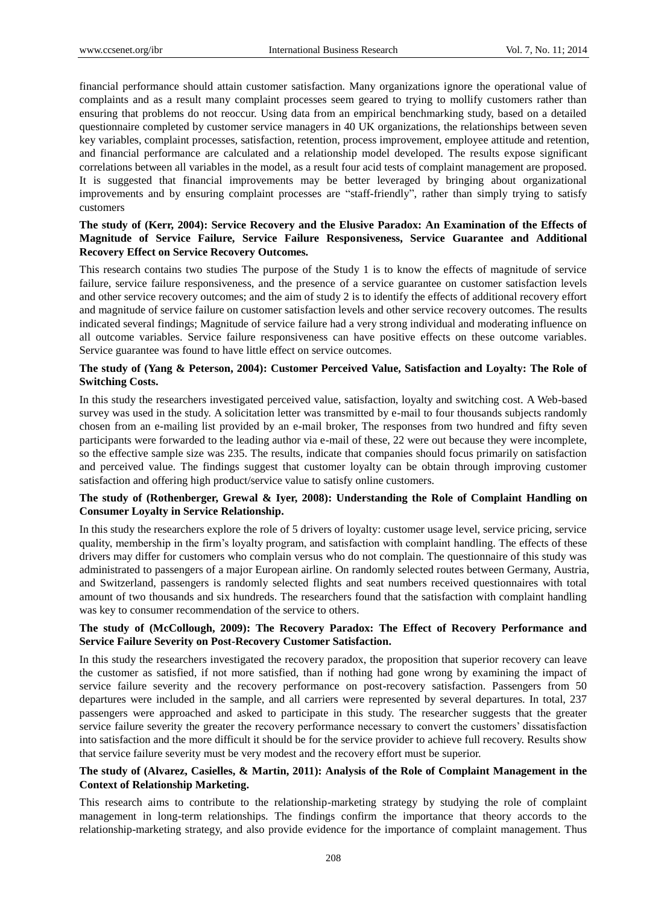financial performance should attain customer satisfaction. Many organizations ignore the operational value of complaints and as a result many complaint processes seem geared to trying to mollify customers rather than ensuring that problems do not reoccur. Using data from an empirical benchmarking study, based on a detailed questionnaire completed by customer service managers in 40 UK organizations, the relationships between seven key variables, complaint processes, satisfaction, retention, process improvement, employee attitude and retention, and financial performance are calculated and a relationship model developed. The results expose significant correlations between all variables in the model, as a result four acid tests of complaint management are proposed. It is suggested that financial improvements may be better leveraged by bringing about organizational improvements and by ensuring complaint processes are "staff-friendly", rather than simply trying to satisfy customers

# **The study of (Kerr, 2004): Service Recovery and the Elusive Paradox: An Examination of the Effects of Magnitude of Service Failure, Service Failure Responsiveness, Service Guarantee and Additional Recovery Effect on Service Recovery Outcomes.**

This research contains two studies The purpose of the Study 1 is to know the effects of magnitude of service failure, service failure responsiveness, and the presence of a service guarantee on customer satisfaction levels and other service recovery outcomes; and the aim of study 2 is to identify the effects of additional recovery effort and magnitude of service failure on customer satisfaction levels and other service recovery outcomes. The results indicated several findings; Magnitude of service failure had a very strong individual and moderating influence on all outcome variables. Service failure responsiveness can have positive effects on these outcome variables. Service guarantee was found to have little effect on service outcomes.

# **The study of (Yang & Peterson, 2004): Customer Perceived Value, Satisfaction and Loyalty: The Role of Switching Costs.**

In this study the researchers investigated perceived value, satisfaction, loyalty and switching cost. A Web-based survey was used in the study. A solicitation letter was transmitted by e-mail to four thousands subjects randomly chosen from an e-mailing list provided by an e-mail broker, The responses from two hundred and fifty seven participants were forwarded to the leading author via e-mail of these, 22 were out because they were incomplete, so the effective sample size was 235. The results, indicate that companies should focus primarily on satisfaction and perceived value. The findings suggest that customer loyalty can be obtain through improving customer satisfaction and offering high product/service value to satisfy online customers.

# **The study of (Rothenberger, Grewal & Iyer, 2008): Understanding the Role of Complaint Handling on Consumer Loyalty in Service Relationship.**

In this study the researchers explore the role of 5 drivers of loyalty: customer usage level, service pricing, service quality, membership in the firm's loyalty program, and satisfaction with complaint handling. The effects of these drivers may differ for customers who complain versus who do not complain. The questionnaire of this study was administrated to passengers of a major European airline. On randomly selected routes between Germany, Austria, and Switzerland, passengers is randomly selected flights and seat numbers received questionnaires with total amount of two thousands and six hundreds. The researchers found that the satisfaction with complaint handling was key to consumer recommendation of the service to others.

# **The study of (McCollough, 2009): The Recovery Paradox: The Effect of Recovery Performance and Service Failure Severity on Post-Recovery Customer Satisfaction.**

In this study the researchers investigated the recovery paradox, the proposition that superior recovery can leave the customer as satisfied, if not more satisfied, than if nothing had gone wrong by examining the impact of service failure severity and the recovery performance on post-recovery satisfaction. Passengers from 50 departures were included in the sample, and all carriers were represented by several departures. In total, 237 passengers were approached and asked to participate in this study. The researcher suggests that the greater service failure severity the greater the recovery performance necessary to convert the customers' dissatisfaction into satisfaction and the more difficult it should be for the service provider to achieve full recovery. Results show that service failure severity must be very modest and the recovery effort must be superior.

# **The study of (Alvarez, Casielles, & Martin, 2011): Analysis of the Role of Complaint Management in the Context of Relationship Marketing.**

This research aims to contribute to the relationship-marketing strategy by studying the role of complaint management in long-term relationships. The findings confirm the importance that theory accords to the relationship-marketing strategy, and also provide evidence for the importance of complaint management. Thus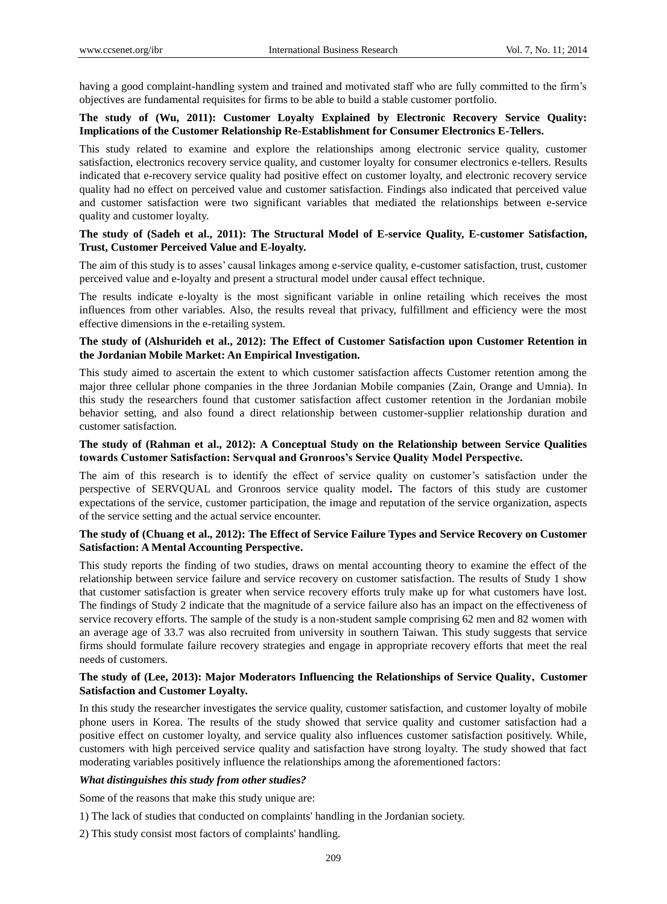having a good complaint-handling system and trained and motivated staff who are fully committed to the firm's objectives are fundamental requisites for firms to be able to build a stable customer portfolio.

# **The study of (Wu, 2011): Customer Loyalty Explained by Electronic Recovery Service Quality: Implications of the Customer Relationship Re-Establishment for Consumer Electronics E-Tellers.**

This study related to examine and explore the relationships among electronic service quality, customer satisfaction, electronics recovery service quality, and customer loyalty for consumer electronics e-tellers. Results indicated that e-recovery service quality had positive effect on customer loyalty, and electronic recovery service quality had no effect on perceived value and customer satisfaction. Findings also indicated that perceived value and customer satisfaction were two significant variables that mediated the relationships between e-service quality and customer loyalty.

# **The study of (Sadeh et al., 2011): The Structural Model of E-service Quality, E-customer Satisfaction, Trust, Customer Perceived Value and E-loyalty.**

The aim of this study is to asses' causal linkages among e-service quality, e-customer satisfaction, trust, customer perceived value and e-loyalty and present a structural model under causal effect technique.

The results indicate e-loyalty is the most significant variable in online retailing which receives the most influences from other variables. Also, the results reveal that privacy, fulfillment and efficiency were the most effective dimensions in the e-retailing system.

# **The study of (Alshurideh et al., 2012): The Effect of Customer Satisfaction upon Customer Retention in the Jordanian Mobile Market: An Empirical Investigation.**

This study aimed to ascertain the extent to which customer satisfaction affects Customer retention among the major three cellular phone companies in the three Jordanian Mobile companies (Zain, Orange and Umnia). In this study the researchers found that customer satisfaction affect customer retention in the Jordanian mobile behavior setting, and also found a direct relationship between customer-supplier relationship duration and customer satisfaction.

# **The study of (Rahman et al., 2012): A Conceptual Study on the Relationship between Service Qualities towards Customer Satisfaction: Servqual and Gronroos's Service Quality Model Perspective.**

The aim of this research is to identify the effect of service quality on customer's satisfaction under the perspective of SERVQUAL and Gronroos service quality model**.** The factors of this study are customer expectations of the service, customer participation, the image and reputation of the service organization, aspects of the service setting and the actual service encounter.

# **The study of (Chuang et al., 2012): The Effect of Service Failure Types and Service Recovery on Customer Satisfaction: A Mental Accounting Perspective.**

This study reports the finding of two studies, draws on mental accounting theory to examine the effect of the relationship between service failure and service recovery on customer satisfaction. The results of Study 1 show that customer satisfaction is greater when service recovery efforts truly make up for what customers have lost. The findings of Study 2 indicate that the magnitude of a service failure also has an impact on the effectiveness of service recovery efforts. The sample of the study is a non-student sample comprising 62 men and 82 women with an average age of 33.7 was also recruited from university in southern Taiwan. This study suggests that service firms should formulate failure recovery strategies and engage in appropriate recovery efforts that meet the real needs of customers.

# **The study of (Lee, 2013): Major Moderators Influencing the Relationships of Service Quality, Customer Satisfaction and Customer Loyalty.**

In this study the researcher investigates the service quality, customer satisfaction, and customer loyalty of mobile phone users in Korea. The results of the study showed that service quality and customer satisfaction had a positive effect on customer loyalty, and service quality also influences customer satisfaction positively. While, customers with high perceived service quality and satisfaction have strong loyalty. The study showed that fact moderating variables positively influence the relationships among the aforementioned factors:

# *What distinguishes this study from other studies?*

Some of the reasons that make this study unique are:

- 1) The lack of studies that conducted on complaints' handling in the Jordanian society.
- 2) This study consist most factors of complaints' handling.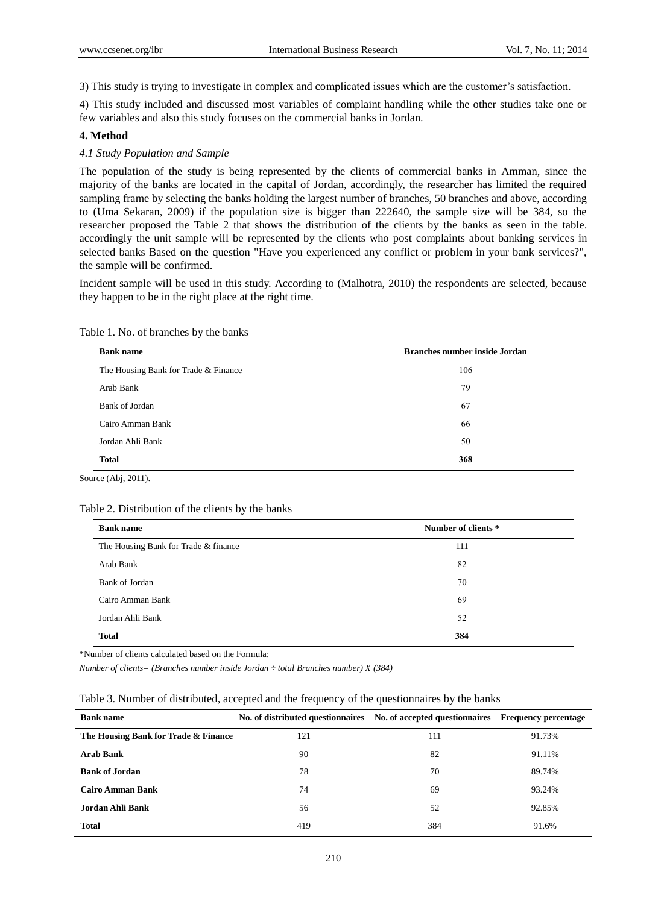3) This study is trying to investigate in complex and complicated issues which are the customer's satisfaction.

4) This study included and discussed most variables of complaint handling while the other studies take one or few variables and also this study focuses on the commercial banks in Jordan.

# **4. Method**

# *4.1 Study Population and Sample*

The population of the study is being represented by the clients of commercial banks in Amman, since the majority of the banks are located in the capital of Jordan, accordingly, the researcher has limited the required sampling frame by selecting the banks holding the largest number of branches, 50 branches and above, according to (Uma Sekaran, 2009) if the population size is bigger than 222640, the sample size will be 384, so the researcher proposed the Table 2 that shows the distribution of the clients by the banks as seen in the table. accordingly the unit sample will be represented by the clients who post complaints about banking services in selected banks Based on the question "Have you experienced any conflict or problem in your bank services?", the sample will be confirmed.

Incident sample will be used in this study. According to (Malhotra, 2010) the respondents are selected, because they happen to be in the right place at the right time.

| <b>Bank name</b>                     | <b>Branches number inside Jordan</b> |
|--------------------------------------|--------------------------------------|
| The Housing Bank for Trade & Finance | 106                                  |
| Arab Bank                            | 79                                   |
| Bank of Jordan                       | 67                                   |
| Cairo Amman Bank                     | 66                                   |
| Jordan Ahli Bank                     | 50                                   |
| <b>Total</b>                         | 368                                  |

Table 1. No. of branches by the banks

Source (Abj, 2011).

#### Table 2. Distribution of the clients by the banks

| <b>Bank name</b>                     | Number of clients * |  |
|--------------------------------------|---------------------|--|
| The Housing Bank for Trade & finance | 111                 |  |
| Arab Bank                            | 82                  |  |
| Bank of Jordan                       | 70                  |  |
| Cairo Amman Bank                     | 69                  |  |
| Jordan Ahli Bank                     | 52                  |  |
| <b>Total</b>                         | 384                 |  |

\*Number of clients calculated based on the Formula:

*Number of clients= (Branches number inside Jordan ÷ total Branches number) X (384)*

| Table 3. Number of distributed, accepted and the frequency of the questionnaires by the banks |  |  |
|-----------------------------------------------------------------------------------------------|--|--|
|                                                                                               |  |  |

| <b>Bank name</b>                     | No. of distributed questionnaires | No. of accepted questionnaires | <b>Frequency percentage</b> |
|--------------------------------------|-----------------------------------|--------------------------------|-----------------------------|
| The Housing Bank for Trade & Finance | 121                               | 111                            | 91.73%                      |
| Arab Bank                            | 90                                | 82                             | 91.11%                      |
| <b>Bank of Jordan</b>                | 78                                | 70                             | 89.74%                      |
| Cairo Amman Bank                     | 74                                | 69                             | 93.24%                      |
| Jordan Ahli Bank                     | 56                                | 52                             | 92.85%                      |
| <b>Total</b>                         | 419                               | 384                            | 91.6%                       |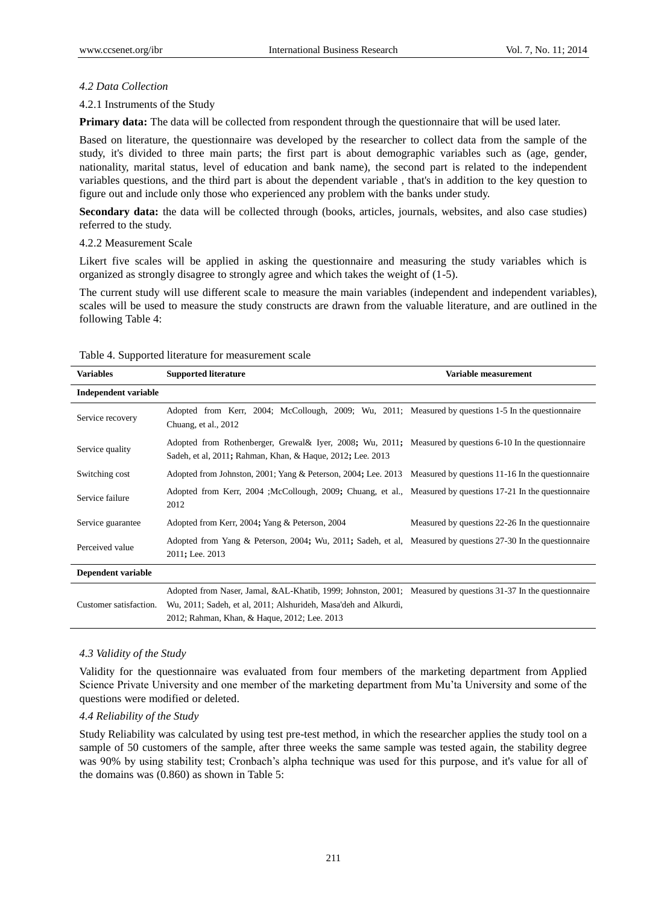# *4.2 Data Collection*

4.2.1 Instruments of the Study

**Primary data:** The data will be collected from respondent through the questionnaire that will be used later.

Based on literature, the questionnaire was developed by the researcher to collect data from the sample of the study, it's divided to three main parts; the first part is about demographic variables such as (age, gender, nationality, marital status, level of education and bank name), the second part is related to the independent variables questions, and the third part is about the dependent variable , that's in addition to the key question to figure out and include only those who experienced any problem with the banks under study.

**Secondary data:** the data will be collected through (books, articles, journals, websites, and also case studies) referred to the study.

# 4.2.2 Measurement Scale

Likert five scales will be applied in asking the questionnaire and measuring the study variables which is organized as strongly disagree to strongly agree and which takes the weight of (1-5).

The current study will use different scale to measure the main variables (independent and independent variables), scales will be used to measure the study constructs are drawn from the valuable literature, and are outlined in the following Table 4:

| <b>Variables</b>       | <b>Supported literature</b>                                                                                                                                                                                                      | Variable measurement                             |
|------------------------|----------------------------------------------------------------------------------------------------------------------------------------------------------------------------------------------------------------------------------|--------------------------------------------------|
| Independent variable   |                                                                                                                                                                                                                                  |                                                  |
| Service recovery       | Adopted from Kerr, 2004; McCollough, 2009; Wu, 2011; Measured by questions 1-5 In the questionnaire<br>Chuang, et al., 2012                                                                                                      |                                                  |
| Service quality        | Adopted from Rothenberger, Grewal & Iyer, 2008; Wu, 2011; Measured by questions 6-10 In the questionnaire<br>Sadeh, et al, 2011; Rahman, Khan, & Haque, 2012; Lee. 2013                                                          |                                                  |
| Switching cost         | Adopted from Johnston, 2001; Yang & Peterson, 2004; Lee. 2013 Measured by questions 11-16 In the questionnaire                                                                                                                   |                                                  |
| Service failure        | Adopted from Kerr, 2004; McCollough, 2009; Chuang, et al., Measured by questions 17-21 In the questionnaire<br>2012                                                                                                              |                                                  |
| Service guarantee      | Adopted from Kerr, 2004; Yang & Peterson, 2004                                                                                                                                                                                   | Measured by questions 22-26 In the question aire |
| Perceived value        | Adopted from Yang & Peterson, 2004; Wu, 2011; Sadeh, et al, Measured by questions 27-30 In the questionnaire<br>2011; Lee. 2013                                                                                                  |                                                  |
| Dependent variable     |                                                                                                                                                                                                                                  |                                                  |
| Customer satisfaction. | Adopted from Naser, Jamal, &AL-Khatib, 1999; Johnston, 2001; Measured by questions 31-37 In the questionnaire<br>Wu, 2011; Sadeh, et al, 2011; Alshurideh, Masa'deh and Alkurdi,<br>2012; Rahman, Khan, & Haque, 2012; Lee. 2013 |                                                  |

### Table 4. Supported literature for measurement scale

# *4.3 Validity of the Study*

Validity for the questionnaire was evaluated from four members of the marketing department from Applied Science Private University and one member of the marketing department from Mu'ta University and some of the questions were modified or deleted.

# *4.4 Reliability of the Study*

Study Reliability was calculated by using test pre-test method, in which the researcher applies the study tool on a sample of 50 customers of the sample, after three weeks the same sample was tested again, the stability degree was 90% by using stability test; Cronbach's alpha technique was used for this purpose, and it's value for all of the domains was (0.860) as shown in Table 5: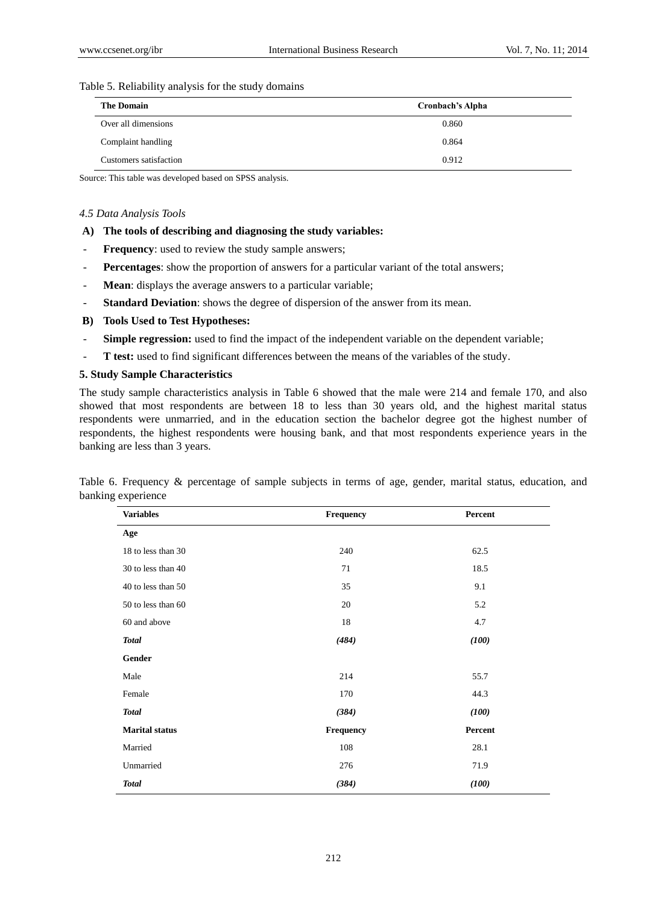#### Table 5. Reliability analysis for the study domains

| <b>The Domain</b>      | Cronbach's Alpha |  |
|------------------------|------------------|--|
| Over all dimensions    | 0.860            |  |
| Complaint handling     | 0.864            |  |
| Customers satisfaction | 0.912            |  |

Source: This table was developed based on SPSS analysis.

#### *4.5 Data Analysis Tools*

#### **A) The tools of describing and diagnosing the study variables:**

- **Frequency**: used to review the study sample answers;
- **Percentages**: show the proportion of answers for a particular variant of the total answers;
- **Mean**: displays the average answers to a particular variable;
- **Standard Deviation**: shows the degree of dispersion of the answer from its mean.

#### **B) Tools Used to Test Hypotheses:**

- **Simple regression:** used to find the impact of the independent variable on the dependent variable;
- **T test:** used to find significant differences between the means of the variables of the study.

#### **5. Study Sample Characteristics**

The study sample characteristics analysis in Table 6 showed that the male were 214 and female 170, and also showed that most respondents are between 18 to less than 30 years old, and the highest marital status respondents were unmarried, and in the education section the bachelor degree got the highest number of respondents, the highest respondents were housing bank, and that most respondents experience years in the banking are less than 3 years.

| <b>Variables</b>      | Frequency | Percent |
|-----------------------|-----------|---------|
| Age                   |           |         |
| 18 to less than 30    | 240       | 62.5    |
| 30 to less than 40    | 71        | 18.5    |
| 40 to less than 50    | 35        | 9.1     |
| 50 to less than 60    | 20        | 5.2     |
| 60 and above          | 18        | 4.7     |
| <b>Total</b>          | (484)     | (100)   |
| Gender                |           |         |
| Male                  | 214       | 55.7    |
| Female                | 170       | 44.3    |
| <b>Total</b>          | (384)     | (100)   |
| <b>Marital status</b> | Frequency | Percent |
| Married               | 108       | 28.1    |
| Unmarried             | 276       | 71.9    |
| <b>Total</b>          | (384)     | (100)   |

Table 6. Frequency & percentage of sample subjects in terms of age, gender, marital status, education, and banking experience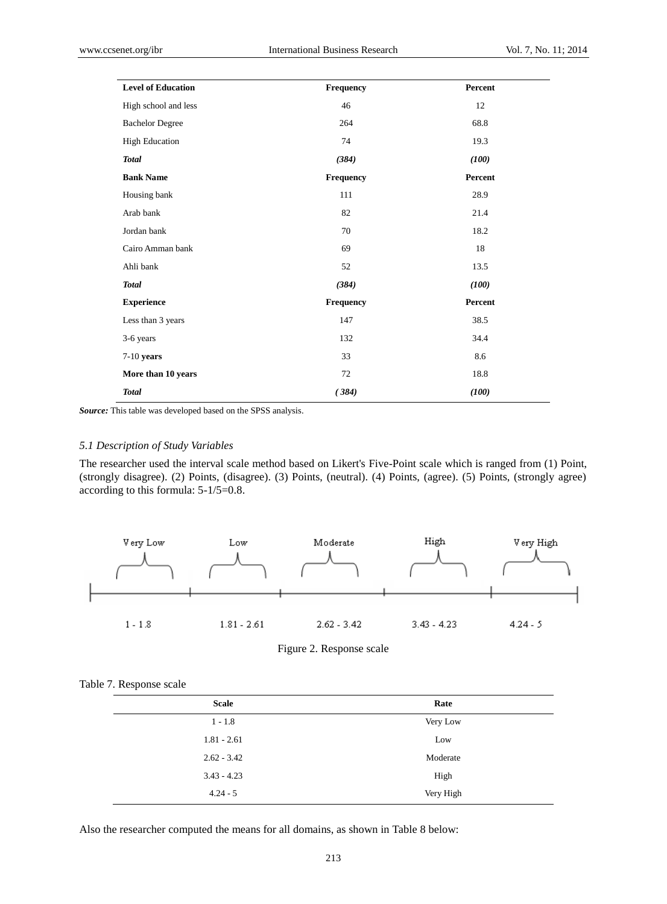| <b>Level of Education</b> | Frequency | Percent |
|---------------------------|-----------|---------|
| High school and less      | 46        | 12      |
| <b>Bachelor Degree</b>    | 264       | 68.8    |
| <b>High Education</b>     | 74        | 19.3    |
| <b>Total</b>              | (384)     | (100)   |
| <b>Bank Name</b>          | Frequency | Percent |
| Housing bank              | 111       | 28.9    |
| Arab bank                 | 82        | 21.4    |
| Jordan bank               | 70        | 18.2    |
| Cairo Amman bank          | 69        | 18      |
| Ahli bank                 | 52        | 13.5    |
| <b>Total</b>              | (384)     | (100)   |
| <b>Experience</b>         | Frequency | Percent |
| Less than 3 years         | 147       | 38.5    |
| 3-6 years                 | 132       | 34.4    |
| $7-10$ years              | 33        | 8.6     |
| More than 10 years        | 72        | 18.8    |
| <b>Total</b>              | (384)     | (100)   |

*Source:* This table was developed based on the SPSS analysis.

# *5.1 Description of Study Variables*

The researcher used the interval scale method based on Likert's Five-Point scale which is ranged from (1) Point, (strongly disagree). (2) Points, (disagree). (3) Points, (neutral). (4) Points, (agree). (5) Points, (strongly agree) according to this formula: 5-1/5=0.8.



Figure 2. Response scale

| <b>Scale</b>  | Rate      |
|---------------|-----------|
| $1 - 1.8$     | Very Low  |
| $1.81 - 2.61$ | Low       |
| $2.62 - 3.42$ | Moderate  |
| $3.43 - 4.23$ | High      |
| $4.24 - 5$    | Very High |

Also the researcher computed the means for all domains, as shown in Table 8 below: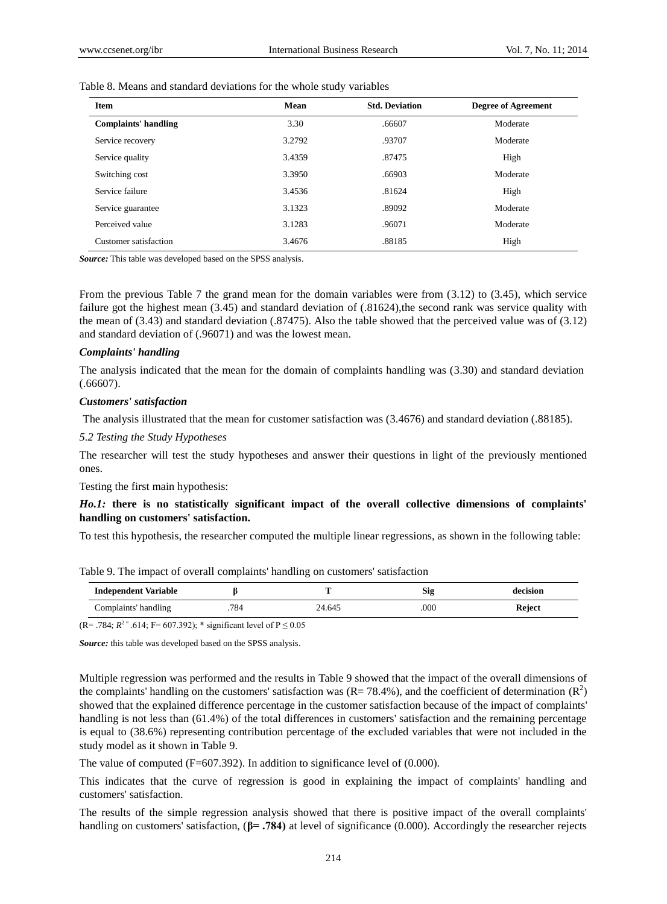| Item                        | Mean   | <b>Std. Deviation</b> | <b>Degree of Agreement</b> |
|-----------------------------|--------|-----------------------|----------------------------|
| <b>Complaints' handling</b> | 3.30   | .66607                | Moderate                   |
| Service recovery            | 3.2792 | .93707                | Moderate                   |
| Service quality             | 3.4359 | .87475                | High                       |
| Switching cost              | 3.3950 | .66903                | Moderate                   |
| Service failure             | 3.4536 | .81624                | High                       |
| Service guarantee           | 3.1323 | .89092                | Moderate                   |
| Perceived value             | 3.1283 | .96071                | Moderate                   |
| Customer satisfaction       | 3.4676 | .88185                | High                       |

Table 8. Means and standard deviations for the whole study variables

*Source:* This table was developed based on the SPSS analysis.

From the previous Table 7 the grand mean for the domain variables were from (3.12) to (3.45), which service failure got the highest mean (3.45) and standard deviation of (.81624), the second rank was service quality with the mean of (3.43) and standard deviation (.87475). Also the table showed that the perceived value was of (3.12) and standard deviation of (.96071) and was the lowest mean.

#### *Complaints' handling*

The analysis indicated that the mean for the domain of complaints handling was (3.30) and standard deviation (.66607).

#### *Customers' satisfaction*

The analysis illustrated that the mean for customer satisfaction was (3.4676) and standard deviation (.88185).

#### *5.2 Testing the Study Hypotheses*

The researcher will test the study hypotheses and answer their questions in light of the previously mentioned ones.

Testing the first main hypothesis:

# *Ho.1:* **there is no statistically significant impact of the overall collective dimensions of complaints' handling on customers' satisfaction.**

To test this hypothesis, the researcher computed the multiple linear regressions, as shown in the following table:

| <b>Independent Variable</b> |      |        | Sig  | decision |
|-----------------------------|------|--------|------|----------|
| Complaints' handling        | .784 | 24.645 | .000 | Reject   |

Table 9. The impact of overall complaints' handling on customers' satisfaction

 $(R = .784; R<sup>2</sup> = .614; F = 607.392);$ \* significant level of P  $\leq 0.05$ 

*Source:* this table was developed based on the SPSS analysis.

Multiple regression was performed and the results in Table 9 showed that the impact of the overall dimensions of the complaints' handling on the customers' satisfaction was ( $R = 78.4\%$ ), and the coefficient of determination ( $R^2$ ) showed that the explained difference percentage in the customer satisfaction because of the impact of complaints' handling is not less than (61.4%) of the total differences in customers' satisfaction and the remaining percentage is equal to (38.6%) representing contribution percentage of the excluded variables that were not included in the study model as it shown in Table 9.

The value of computed ( $F=607.392$ ). In addition to significance level of (0.000).

This indicates that the curve of regression is good in explaining the impact of complaints' handling and customers' satisfaction.

The results of the simple regression analysis showed that there is positive impact of the overall complaints' handling on customers' satisfaction, (**β= .784)** at level of significance (0.000). Accordingly the researcher rejects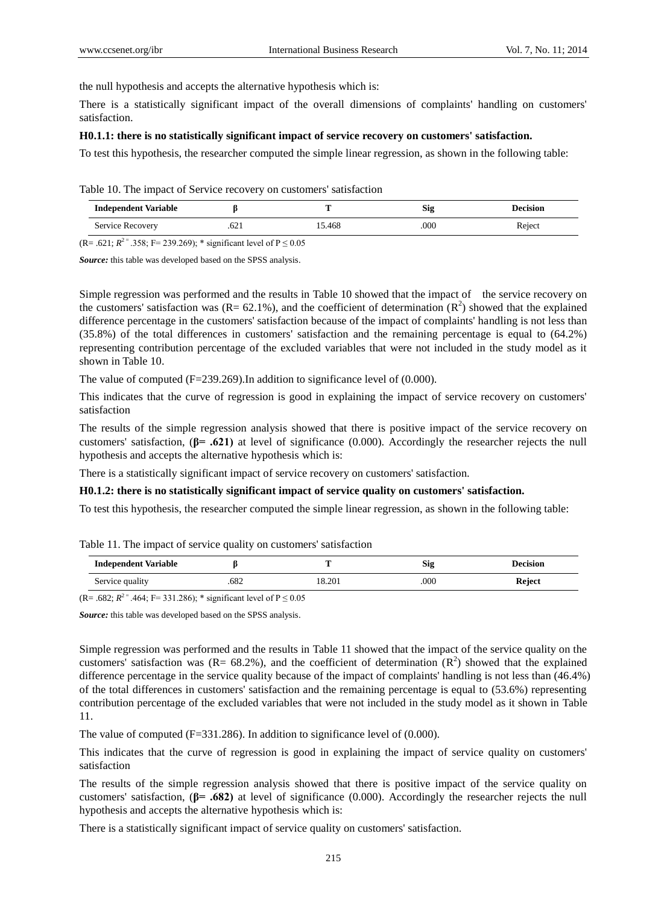the null hypothesis and accepts the alternative hypothesis which is:

There is a statistically significant impact of the overall dimensions of complaints' handling on customers' satisfaction.

#### **H0.1.1: there is no statistically significant impact of service recovery on customers' satisfaction.**

To test this hypothesis, the researcher computed the simple linear regression, as shown in the following table:

Table 10. The impact of Service recovery on customers' satisfaction

| <b>Independent Variable</b> |      |      | o۳<br>Sig | Decision |
|-----------------------------|------|------|-----------|----------|
| Service Recovery            | .621 | .468 | .000      | Reject   |

 $(R = .621; R<sup>2</sup> = .358; F = 239.269);$ \* significant level of P  $\leq 0.05$ 

*Source:* this table was developed based on the SPSS analysis.

Simple regression was performed and the results in Table 10 showed that the impact of the service recovery on the customers' satisfaction was ( $R = 62.1\%$ ), and the coefficient of determination ( $R^2$ ) showed that the explained difference percentage in the customers' satisfaction because of the impact of complaints' handling is not less than (35.8%) of the total differences in customers' satisfaction and the remaining percentage is equal to (64.2%) representing contribution percentage of the excluded variables that were not included in the study model as it shown in Table 10.

The value of computed (F=239.269).In addition to significance level of (0.000).

This indicates that the curve of regression is good in explaining the impact of service recovery on customers' satisfaction

The results of the simple regression analysis showed that there is positive impact of the service recovery on customers' satisfaction, (**β= .621)** at level of significance (0.000). Accordingly the researcher rejects the null hypothesis and accepts the alternative hypothesis which is:

There is a statistically significant impact of service recovery on customers' satisfaction.

#### **H0.1.2: there is no statistically significant impact of service quality on customers' satisfaction.**

To test this hypothesis, the researcher computed the simple linear regression, as shown in the following table:

| <b>Independent Variable</b> |      |        | Sig  | <b>Decision</b> |
|-----------------------------|------|--------|------|-----------------|
| Service quality             | .682 | 18.201 | .000 | Reject          |

Table 11. The impact of service quality on customers' satisfaction

 $(R = .682; R<sup>2</sup> = .464; F = 331.286);$ \* significant level of P  $\leq 0.05$ 

*Source:* this table was developed based on the SPSS analysis.

Simple regression was performed and the results in Table 11 showed that the impact of the service quality on the customers' satisfaction was ( $R = 68.2\%$ ), and the coefficient of determination ( $R^2$ ) showed that the explained difference percentage in the service quality because of the impact of complaints' handling is not less than (46.4%) of the total differences in customers' satisfaction and the remaining percentage is equal to (53.6%) representing contribution percentage of the excluded variables that were not included in the study model as it shown in Table 11.

The value of computed (F=331.286). In addition to significance level of (0.000).

This indicates that the curve of regression is good in explaining the impact of service quality on customers' satisfaction

The results of the simple regression analysis showed that there is positive impact of the service quality on customers' satisfaction, (**β= .682)** at level of significance (0.000). Accordingly the researcher rejects the null hypothesis and accepts the alternative hypothesis which is:

There is a statistically significant impact of service quality on customers' satisfaction.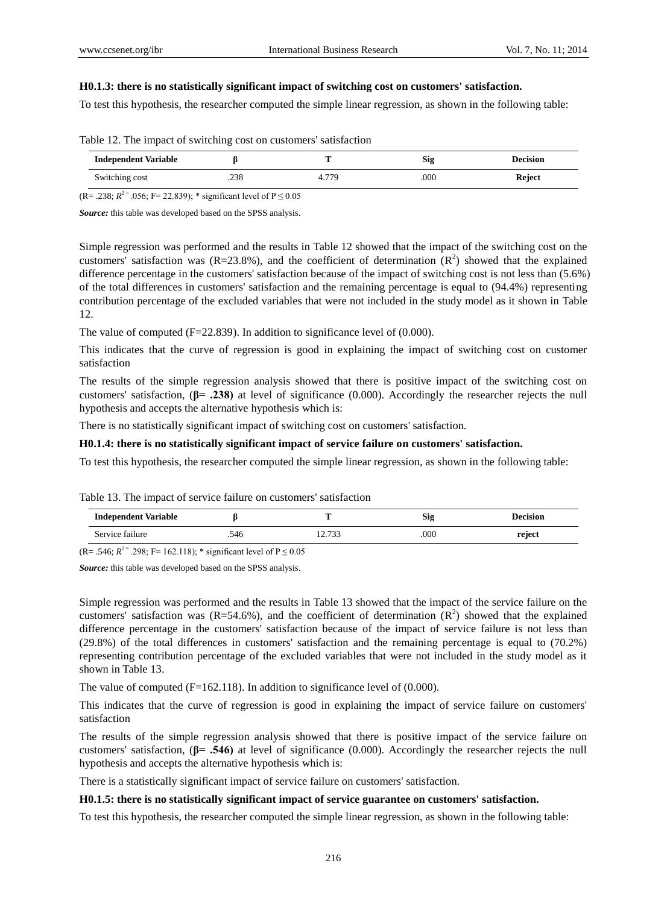# **H0.1.3: there is no statistically significant impact of switching cost on customers' satisfaction.**

To test this hypothesis, the researcher computed the simple linear regression, as shown in the following table:

| <b>Independent Variable</b> |      |       | Sig  | <b>Decision</b> |
|-----------------------------|------|-------|------|-----------------|
| Switching cost              | .238 | 4.779 | .000 | Reject          |

Table 12. The impact of switching cost on customers' satisfaction

 $(R = .238; R<sup>2</sup> = .056; F = 22.839);$ \* significant level of P  $\leq 0.05$ 

*Source:* this table was developed based on the SPSS analysis.

Simple regression was performed and the results in Table 12 showed that the impact of the switching cost on the customers' satisfaction was (R=23.8%), and the coefficient of determination  $(R^2)$  showed that the explained difference percentage in the customers' satisfaction because of the impact of switching cost is not less than (5.6%) of the total differences in customers' satisfaction and the remaining percentage is equal to (94.4%) representing contribution percentage of the excluded variables that were not included in the study model as it shown in Table 12.

The value of computed (F=22.839). In addition to significance level of (0.000).

This indicates that the curve of regression is good in explaining the impact of switching cost on customer satisfaction

The results of the simple regression analysis showed that there is positive impact of the switching cost on customers' satisfaction, (**β= .238)** at level of significance (0.000). Accordingly the researcher rejects the null hypothesis and accepts the alternative hypothesis which is:

There is no statistically significant impact of switching cost on customers' satisfaction.

#### **H0.1.4: there is no statistically significant impact of service failure on customers' satisfaction.**

To test this hypothesis, the researcher computed the simple linear regression, as shown in the following table:

|  |  |  |  | Table 13. The impact of service failure on customers' satisfaction |  |
|--|--|--|--|--------------------------------------------------------------------|--|
|--|--|--|--|--------------------------------------------------------------------|--|

| <b>Independent Variable</b> |      |        | Sig  | <b>Decision</b> |
|-----------------------------|------|--------|------|-----------------|
| Service failure             | .546 | 12.722 | .000 | reject          |

 $(R = .546; R<sup>2</sup> = .298; F = 162.118);$ \* significant level of P  $\leq 0.05$ 

*Source:* this table was developed based on the SPSS analysis.

Simple regression was performed and the results in Table 13 showed that the impact of the service failure on the customers' satisfaction was (R=54.6%), and the coefficient of determination  $(R^2)$  showed that the explained difference percentage in the customers' satisfaction because of the impact of service failure is not less than (29.8%) of the total differences in customers' satisfaction and the remaining percentage is equal to (70.2%) representing contribution percentage of the excluded variables that were not included in the study model as it shown in Table 13.

The value of computed ( $F=162.118$ ). In addition to significance level of (0.000).

This indicates that the curve of regression is good in explaining the impact of service failure on customers' satisfaction

The results of the simple regression analysis showed that there is positive impact of the service failure on customers' satisfaction, (**β= .546)** at level of significance (0.000). Accordingly the researcher rejects the null hypothesis and accepts the alternative hypothesis which is:

There is a statistically significant impact of service failure on customers' satisfaction.

### **H0.1.5: there is no statistically significant impact of service guarantee on customers' satisfaction.**

To test this hypothesis, the researcher computed the simple linear regression, as shown in the following table: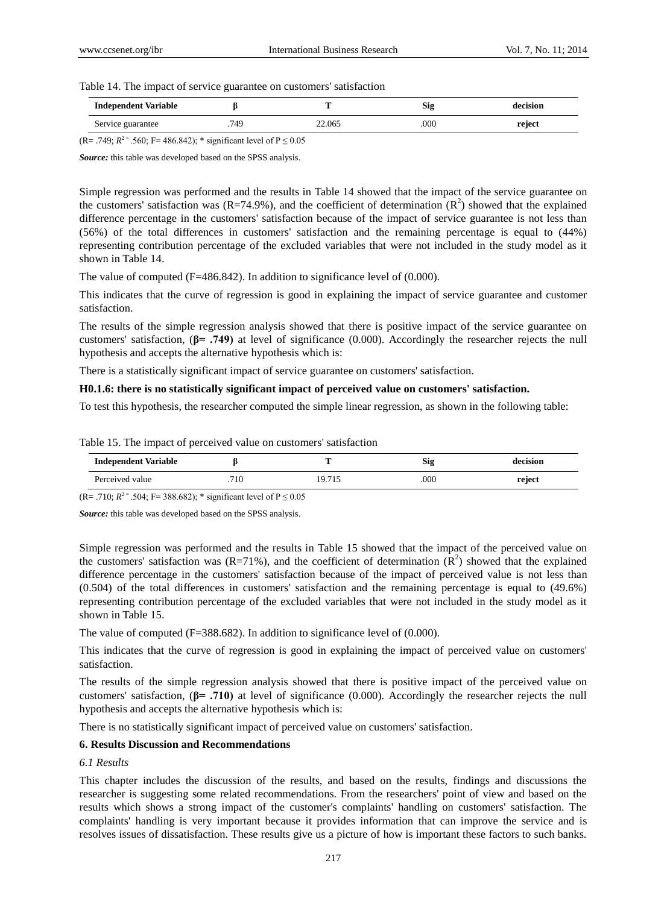#### Table 14. The impact of service guarantee on customers' satisfaction

| <b>Independent Variable</b> |      |        | Sig  | decision |
|-----------------------------|------|--------|------|----------|
| Service guarantee           | .749 | 22.065 | .000 | reject   |

 $(R = .749; R<sup>2</sup> = .560; F = 486.842);$  \* significant level of  $P \le 0.05$ 

*Source:* this table was developed based on the SPSS analysis.

Simple regression was performed and the results in Table 14 showed that the impact of the service guarantee on the customers' satisfaction was (R=74.9%), and the coefficient of determination  $(R^2)$  showed that the explained difference percentage in the customers' satisfaction because of the impact of service guarantee is not less than (56%) of the total differences in customers' satisfaction and the remaining percentage is equal to (44%) representing contribution percentage of the excluded variables that were not included in the study model as it shown in Table 14.

The value of computed (F=486.842). In addition to significance level of (0.000).

This indicates that the curve of regression is good in explaining the impact of service guarantee and customer satisfaction.

The results of the simple regression analysis showed that there is positive impact of the service guarantee on customers' satisfaction, (**β= .749)** at level of significance (0.000). Accordingly the researcher rejects the null hypothesis and accepts the alternative hypothesis which is:

There is a statistically significant impact of service guarantee on customers' satisfaction.

#### **H0.1.6: there is no statistically significant impact of perceived value on customers' satisfaction.**

To test this hypothesis, the researcher computed the simple linear regression, as shown in the following table:

| Table 15. The impact of perceived value on customers' satisfaction |  |  |
|--------------------------------------------------------------------|--|--|
|--------------------------------------------------------------------|--|--|

| <b>Independent Variable</b> |      |        | Sig  | decision |
|-----------------------------|------|--------|------|----------|
| Perceived value             | .710 | 19.715 | .000 | reject   |

 $(R = .710; R<sup>2</sup> = .504; F = 388.682);$ \* significant level of P  $\leq 0.05$ 

*Source:* this table was developed based on the SPSS analysis.

Simple regression was performed and the results in Table 15 showed that the impact of the perceived value on the customers' satisfaction was (R=71%), and the coefficient of determination  $(R^2)$  showed that the explained difference percentage in the customers' satisfaction because of the impact of perceived value is not less than (0.504) of the total differences in customers' satisfaction and the remaining percentage is equal to (49.6%) representing contribution percentage of the excluded variables that were not included in the study model as it shown in Table 15.

The value of computed  $(F=388.682)$ . In addition to significance level of  $(0.000)$ .

This indicates that the curve of regression is good in explaining the impact of perceived value on customers' satisfaction.

The results of the simple regression analysis showed that there is positive impact of the perceived value on customers' satisfaction, (**β= .710)** at level of significance (0.000). Accordingly the researcher rejects the null hypothesis and accepts the alternative hypothesis which is:

There is no statistically significant impact of perceived value on customers' satisfaction.

### **6. Results Discussion and Recommendations**

#### *6.1 Results*

This chapter includes the discussion of the results, and based on the results, findings and discussions the researcher is suggesting some related recommendations. From the researchers' point of view and based on the results which shows a strong impact of the customer's complaints' handling on customers' satisfaction. The complaints' handling is very important because it provides information that can improve the service and is resolves issues of dissatisfaction. These results give us a picture of how is important these factors to such banks.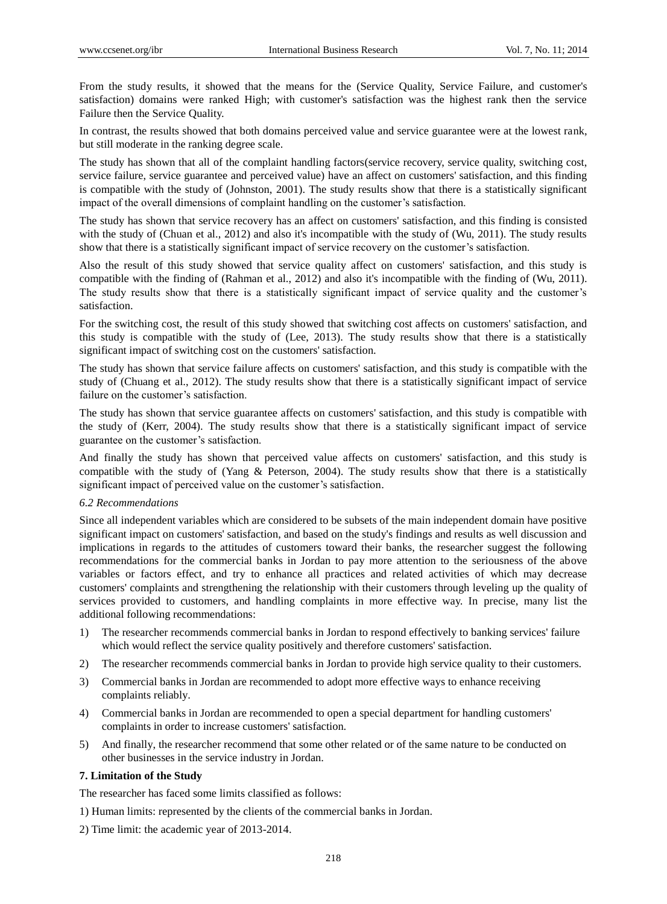From the study results, it showed that the means for the (Service Quality, Service Failure, and customer's satisfaction) domains were ranked High; with customer's satisfaction was the highest rank then the service Failure then the Service Quality.

In contrast, the results showed that both domains perceived value and service guarantee were at the lowest rank, but still moderate in the ranking degree scale.

The study has shown that all of the complaint handling factors(service recovery, service quality, switching cost, service failure, service guarantee and perceived value) have an affect on customers' satisfaction, and this finding is compatible with the study of (Johnston, 2001). The study results show that there is a statistically significant impact of the overall dimensions of complaint handling on the customer's satisfaction.

The study has shown that service recovery has an affect on customers' satisfaction, and this finding is consisted with the study of (Chuan et al., 2012) and also it's incompatible with the study of (Wu, 2011). The study results show that there is a statistically significant impact of service recovery on the customer's satisfaction.

Also the result of this study showed that service quality affect on customers' satisfaction, and this study is compatible with the finding of (Rahman et al., 2012) and also it's incompatible with the finding of (Wu, 2011). The study results show that there is a statistically significant impact of service quality and the customer's satisfaction.

For the switching cost, the result of this study showed that switching cost affects on customers' satisfaction, and this study is compatible with the study of (Lee, 2013). The study results show that there is a statistically significant impact of switching cost on the customers' satisfaction.

The study has shown that service failure affects on customers' satisfaction, and this study is compatible with the study of (Chuang et al., 2012). The study results show that there is a statistically significant impact of service failure on the customer's satisfaction.

The study has shown that service guarantee affects on customers' satisfaction, and this study is compatible with the study of (Kerr, 2004). The study results show that there is a statistically significant impact of service guarantee on the customer's satisfaction.

And finally the study has shown that perceived value affects on customers' satisfaction, and this study is compatible with the study of (Yang & Peterson, 2004). The study results show that there is a statistically significant impact of perceived value on the customer's satisfaction.

#### *6.2 Recommendations*

Since all independent variables which are considered to be subsets of the main independent domain have positive significant impact on customers' satisfaction, and based on the study's findings and results as well discussion and implications in regards to the attitudes of customers toward their banks, the researcher suggest the following recommendations for the commercial banks in Jordan to pay more attention to the seriousness of the above variables or factors effect, and try to enhance all practices and related activities of which may decrease customers' complaints and strengthening the relationship with their customers through leveling up the quality of services provided to customers, and handling complaints in more effective way. In precise, many list the additional following recommendations:

- 1) The researcher recommends commercial banks in Jordan to respond effectively to banking services' failure which would reflect the service quality positively and therefore customers' satisfaction.
- 2) The researcher recommends commercial banks in Jordan to provide high service quality to their customers.
- 3) Commercial banks in Jordan are recommended to adopt more effective ways to enhance receiving complaints reliably.
- 4) Commercial banks in Jordan are recommended to open a special department for handling customers' complaints in order to increase customers' satisfaction.
- 5) And finally, the researcher recommend that some other related or of the same nature to be conducted on other businesses in the service industry in Jordan.

# **7. Limitation of the Study**

The researcher has faced some limits classified as follows:

- 1) Human limits: represented by the clients of the commercial banks in Jordan.
- 2) Time limit: the academic year of 2013-2014.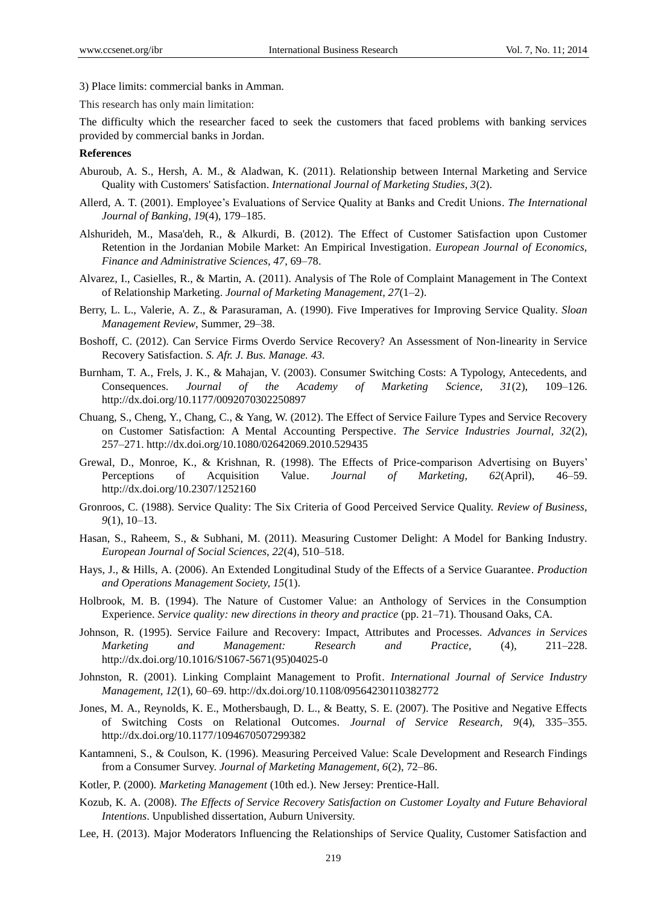3) Place limits: commercial banks in Amman.

This research has only main limitation:

The difficulty which the researcher faced to seek the customers that faced problems with banking services provided by commercial banks in Jordan.

#### **References**

- Aburoub, A. S., Hersh, A. M., & Aladwan, K. (2011). Relationship between Internal Marketing and Service Quality with Customers' Satisfaction. *International Journal of Marketing Studies, 3*(2).
- Allerd, A. T. (2001). Employee's Evaluations of Service Quality at Banks and Credit Unions. *The International Journal of Banking, 19*(4), 179–185.
- Alshurideh, M., Masa'deh, R., & Alkurdi, B. (2012). The Effect of Customer Satisfaction upon Customer Retention in the Jordanian Mobile Market: An Empirical Investigation. *European Journal of Economics, Finance and Administrative Sciences, 47*, 69–78.
- Alvarez, I., Casielles, R., & Martin, A. (2011). Analysis of The Role of Complaint Management in The Context of Relationship Marketing. *Journal of Marketing Management, 27*(1–2).
- Berry, L. L., Valerie, A. Z., & Parasuraman, A. (1990). Five Imperatives for Improving Service Quality. *Sloan Management Review*, Summer, 29–38.
- Boshoff, C. (2012). Can Service Firms Overdo Service Recovery? An Assessment of Non-linearity in Service Recovery Satisfaction. *S. Afr. J. Bus. Manage. 43.*
- Burnham, T. A., Frels, J. K., & Mahajan, V. (2003). Consumer Switching Costs: A Typology, Antecedents, and Consequences. *Journal of the Academy of Marketing Science, 31*(2), 109–126. http://dx.doi.org/10.1177/0092070302250897
- Chuang, S., Cheng, Y., Chang, C., & Yang, W. (2012). The Effect of Service Failure Types and Service Recovery on Customer Satisfaction: A Mental Accounting Perspective. *The Service Industries Journal, 32*(2), 257–271. http://dx.doi.org/10.1080/02642069.2010.529435
- Grewal, D., Monroe, K., & Krishnan, R. (1998). The Effects of Price-comparison Advertising on Buyers' Perceptions of Acquisition Value. *Journal of Marketing, 62*(April), 46–59. http://dx.doi.org/10.2307/1252160
- Gronroos, C. (1988). Service Quality: The Six Criteria of Good Perceived Service Quality. *Review of Business, 9*(1), 10–13.
- Hasan, S., Raheem, S., & Subhani, M. (2011). Measuring Customer Delight: A Model for Banking Industry. *European Journal of Social Sciences, 22*(4), 510–518.
- Hays, J., & Hills, A. (2006). An Extended Longitudinal Study of the Effects of a Service Guarantee. *Production and Operations Management Society, 15*(1).
- Holbrook, M. B. (1994). The Nature of Customer Value: an Anthology of Services in the Consumption Experience. *Service quality: new directions in theory and practice* (pp. 21–71). Thousand Oaks, CA.
- Johnson, R. (1995). Service Failure and Recovery: Impact, Attributes and Processes. *Advances in Services Marketing and Management: Research and Practice,* (4), 211–228. http://dx.doi.org/10.1016/S1067-5671(95)04025-0
- Johnston, R. (2001). Linking Complaint Management to Profit. *International Journal of Service Industry Management, 12*(1), 60–69. http://dx.doi.org/10.1108/09564230110382772
- Jones, M. A., Reynolds, K. E., Mothersbaugh, D. L., & Beatty, S. E. (2007). The Positive and Negative Effects of Switching Costs on Relational Outcomes. *Journal of Service Research, 9*(4), 335–355. http://dx.doi.org/10.1177/1094670507299382
- Kantamneni, S., & Coulson, K. (1996). Measuring Perceived Value: Scale Development and Research Findings from a Consumer Survey. *Journal of Marketing Management, 6*(2), 72–86.
- Kotler, P. (2000). *Marketing Management* (10th ed.). New Jersey: Prentice-Hall.
- Kozub, K. A. (2008). *The Effects of Service Recovery Satisfaction on Customer Loyalty and Future Behavioral Intentions*. Unpublished dissertation, Auburn University.
- Lee, H. (2013). Major Moderators Influencing the Relationships of Service Quality, Customer Satisfaction and